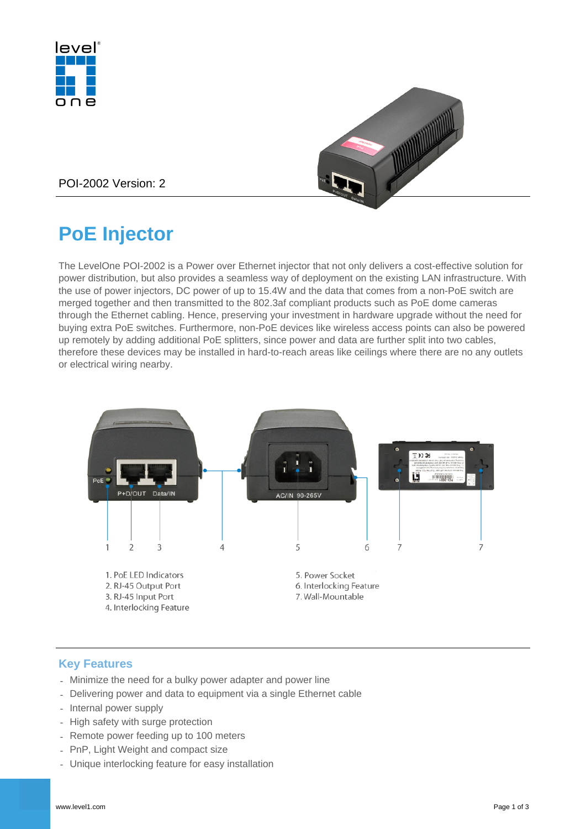



POI-2002 Version: 2

# **PoE Injector**

The LevelOne POI-2002 is a Power over Ethernet injector that not only delivers a cost-effective solution for power distribution, but also provides a seamless way of deployment on the existing LAN infrastructure. With the use of power injectors, DC power of up to 15.4W and the data that comes from a non-PoE switch are merged together and then transmitted to the 802.3af compliant products such as PoE dome cameras through the Ethernet cabling. Hence, preserving your investment in hardware upgrade without the need for buying extra PoE switches. Furthermore, non-PoE devices like wireless access points can also be powered up remotely by adding additional PoE splitters, since power and data are further split into two cables, therefore these devices may be installed in hard-to-reach areas like ceilings where there are no any outlets or electrical wiring nearby.



## **Key Features**

- Minimize the need for a bulky power adapter and power line
- Delivering power and data to equipment via a single Ethernet cable
- Internal power supply
- High safety with surge protection
- Remote power feeding up to 100 meters
- PnP, Light Weight and compact size
- Unique interlocking feature for easy installation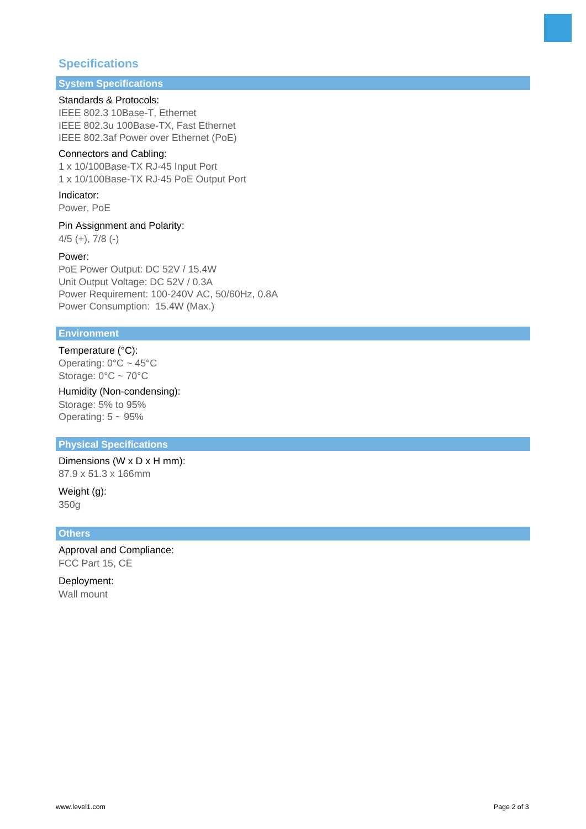# **Specifications**

# **System Specifications**

Standards & Protocols: IEEE 802.3 10Base-T, Ethernet IEEE 802.3u 100Base-TX, Fast Ethernet IEEE 802.3af Power over Ethernet (PoE)

## Connectors and Cabling:

1 x 10/100Base-TX RJ-45 Input Port 1 x 10/100Base-TX RJ-45 PoE Output Port

### Indicator:

Power, PoE

Pin Assignment and Polarity:

4/5 (+), 7/8 (-)

## Power:

PoE Power Output: DC 52V / 15.4W Unit Output Voltage: DC 52V / 0.3A Power Requirement: 100-240V AC, 50/60Hz, 0.8A Power Consumption: 15.4W (Max.)

## **Environment**

## Temperature (°C):

Operating: 0°C ~ 45°C Storage: 0°C ~ 70°C

Humidity (Non-condensing): Storage: 5% to 95% Operating:  $5 \sim 95\%$ 

### **Physical Specifications**

Dimensions (W x D x H mm): 87.9 x 51.3 x 166mm

Weight (g): 350g

#### **Others**

Approval and Compliance: FCC Part 15, CE

Deployment: Wall mount